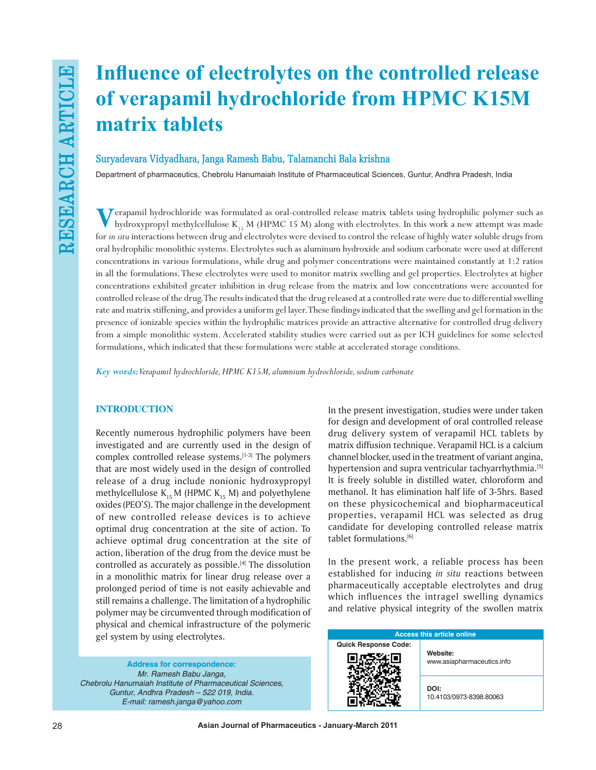# **Influence of electrolytes on the controlled release of verapamil hydrochloride from HPMC K15M matrix tablets**

# **Suryadevara Vidyadhara, Janga Ramesh Babu, Talamanchi Bala krishna**

Department of pharmaceutics, Chebrolu Hanumaiah Institute of Pharmaceutical Sciences, Guntur, Andhra Pradesh, India

**V**erapamil hydrochloride was formulated as oral-controlled release matrix tablets using hydrophilic polymer such as hydroxypropyl methylcellulose K<sub>15</sub> M (HPMC 15 M) along with electrolytes. In this work a new attempt was made for *in situ* interactions between drug and electrolytes were devised to control the release of highly water soluble drugs from oral hydrophilic monolithic systems. Electrolytes such as aluminum hydroxide and sodium carbonate were used at different concentrations in various formulations, while drug and polymer concentrations were maintained constantly at 1:2 ratios in all the formulations. These electrolytes were used to monitor matrix swelling and gel properties. Electrolytes at higher concentrations exhibited greater inhibition in drug release from the matrix and low concentrations were accounted for controlled release of the drug. The results indicated that the drug released at a controlled rate were due to differential swelling rate and matrix stiffening, and provides a uniform gel layer. These findings indicated that the swelling and gel formation in the presence of ionizable species within the hydrophilic matrices provide an attractive alternative for controlled drug delivery from a simple monolithic system. Accelerated stability studies were carried out as per ICH guidelines for some selected formulations, which indicated that these formulations were stable at accelerated storage conditions.

*Key words: Verapamil hydrochloride, HPMC K15M, alumnium hydrochloride, sodium carbonate*

## **INTRODUCTION**

Recently numerous hydrophilic polymers have been investigated and are currently used in the design of complex controlled release systems.<sup>[1-3]</sup> The polymers that are most widely used in the design of controlled release of a drug include nonionic hydroxypropyl methylcellulose  $K_{15}$  M (HPMC  $K_{15}$  M) and polyethylene oxides (PEO'*S*). The major challenge in the development of new controlled release devices is to achieve optimal drug concentration at the site of action. To achieve optimal drug concentration at the site of action, liberation of the drug from the device must be controlled as accurately as possible.[4] The dissolution in a monolithic matrix for linear drug release over a prolonged period of time is not easily achievable and still remains a challenge. The limitation of a hydrophilic polymer may be circumvented through modification of physical and chemical infrastructure of the polymeric gel system by using electrolytes.

**Address for correspondence:** *Mr. Ramesh Babu Janga, Chebrolu Hanumaiah Institute of Pharmaceutical Sciences, Guntur, Andhra Pradesh – 522 019, India. E-mail: ramesh.janga@yahoo.com*

In the present investigation, studies were under taken for design and development of oral controlled release drug delivery system of verapamil HCL tablets by matrix diffusion technique. Verapamil HCL is a calcium channel blocker, used in the treatment of variant angina, hypertension and supra ventricular tachyarrhythmia.<sup>[5]</sup> It is freely soluble in distilled water, chloroform and methanol. It has elimination half life of 3-5hrs. Based on these physicochemical and biopharmaceutical properties, verapamil HCL was selected as drug candidate for developing controlled release matrix tablet formulations.[6]

In the present work, a reliable process has been established for inducing *in situ* reactions between pharmaceutically acceptable electrolytes and drug which influences the intragel swelling dynamics and relative physical integrity of the swollen matrix

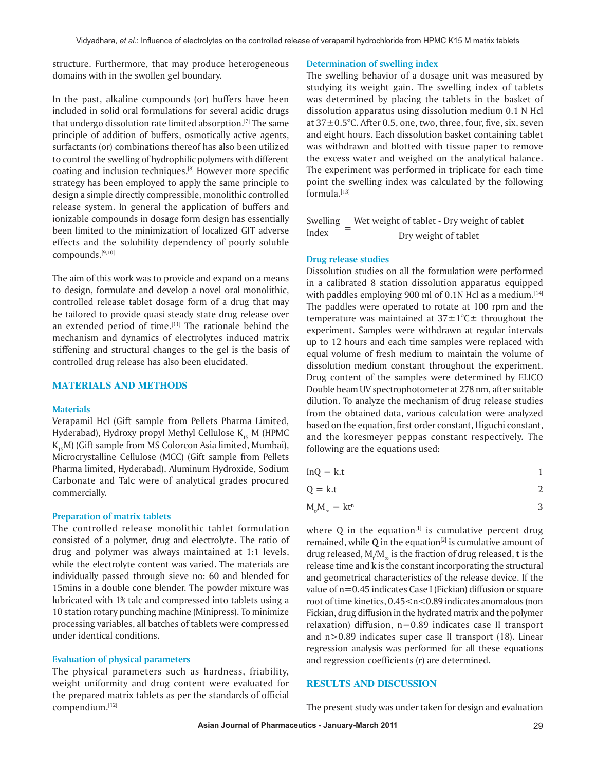structure. Furthermore, that may produce heterogeneous domains with in the swollen gel boundary.

In the past, alkaline compounds (or) buffers have been included in solid oral formulations for several acidic drugs that undergo dissolution rate limited absorption.[7] The same principle of addition of buffers, osmotically active agents, surfactants (or) combinations thereof has also been utilized to control the swelling of hydrophilic polymers with different coating and inclusion techniques.[8] However more specific strategy has been employed to apply the same principle to design a simple directly compressible, monolithic controlled release system. In general the application of buffers and ionizable compounds in dosage form design has essentially been limited to the minimization of localized GIT adverse effects and the solubility dependency of poorly soluble compounds.[9,10]

The aim of this work was to provide and expand on a means to design, formulate and develop a novel oral monolithic, controlled release tablet dosage form of a drug that may be tailored to provide quasi steady state drug release over an extended period of time.<sup>[11]</sup> The rationale behind the mechanism and dynamics of electrolytes induced matrix stiffening and structural changes to the gel is the basis of controlled drug release has also been elucidated.

## **MATERIALS AND METHODS**

#### **Materials**

Verapamil Hcl (Gift sample from Pellets Pharma Limited, Hyderabad), Hydroxy propyl Methyl Cellulose  $K_{15}$  M (HPMC K<sub>15</sub>M) (Gift sample from MS Colorcon Asia limited, Mumbai), Microcrystalline Cellulose (MCC) (Gift sample from Pellets Pharma limited, Hyderabad), Aluminum Hydroxide, Sodium Carbonate and Talc were of analytical grades procured commercially.

### **Preparation of matrix tablets**

The controlled release monolithic tablet formulation consisted of a polymer, drug and electrolyte. The ratio of drug and polymer was always maintained at 1:1 levels, while the electrolyte content was varied. The materials are individually passed through sieve no: 60 and blended for 15mins in a double cone blender. The powder mixture was lubricated with 1% talc and compressed into tablets using a 10 station rotary punching machine (Minipress). To minimize processing variables, all batches of tablets were compressed under identical conditions.

### **Evaluation of physical parameters**

The physical parameters such as hardness, friability, weight uniformity and drug content were evaluated for the prepared matrix tablets as per the standards of official compendium.[12]

## **Determination of swelling index**

The swelling behavior of a dosage unit was measured by studying its weight gain. The swelling index of tablets was determined by placing the tablets in the basket of dissolution apparatus using dissolution medium 0.1 N Hcl at  $37\pm0.5^{\circ}$ C. After 0.5, one, two, three, four, five, six, seven and eight hours. Each dissolution basket containing tablet was withdrawn and blotted with tissue paper to remove the excess water and weighed on the analytical balance. The experiment was performed in triplicate for each time point the swelling index was calculated by the following formula.[13]

Swelling Swelling  $=$  Wet weight of tablet - Dry weight of tablet<br>Index  $=$  Dry weight of tablet Dry weight of tablet

#### **Drug release studies**

Dissolution studies on all the formulation were performed in a calibrated 8 station dissolution apparatus equipped with paddles employing 900 ml of 0.1N Hcl as a medium.<sup>[14]</sup> The paddles were operated to rotate at 100 rpm and the temperature was maintained at  $37\pm1\degree$ C $\pm$  throughout the experiment. Samples were withdrawn at regular intervals up to 12 hours and each time samples were replaced with equal volume of fresh medium to maintain the volume of dissolution medium constant throughout the experiment. Drug content of the samples were determined by ELICO Double beam UV spectrophotometer at 278 nm, after suitable dilution. To analyze the mechanism of drug release studies from the obtained data, various calculation were analyzed based on the equation, first order constant, Higuchi constant, and the koresmeyer peppas constant respectively. The following are the equations used:

| $InQ = k.t$ |  |
|-------------|--|
|-------------|--|

$$
Q = k.t
$$

$$
M_{v}M_{\infty} = kt^{n}
$$

where Q in the equation $[1]$  is cumulative percent drug remained, while  $Q$  in the equation<sup>[2]</sup> is cumulative amount of drug released, M<sub>(</sub>/M<sub>∞</sub> is the fraction of drug released, **t** is the release time and **k** is the constant incorporating the structural and geometrical characteristics of the release device. If the value of n=0.45 indicates Case I (Fickian) diffusion or square root of time kinetics,  $0.45 < n < 0.89$  indicates anomalous (non Fickian, drug diffusion in the hydrated matrix and the polymer relaxation) diffusion, n=0.89 indicates case II transport and n>0.89 indicates super case II transport (18). Linear regression analysis was performed for all these equations and regression coefficients (**r**) are determined.

## **RESULTS AND DISCUSSION**

The present study was under taken for design and evaluation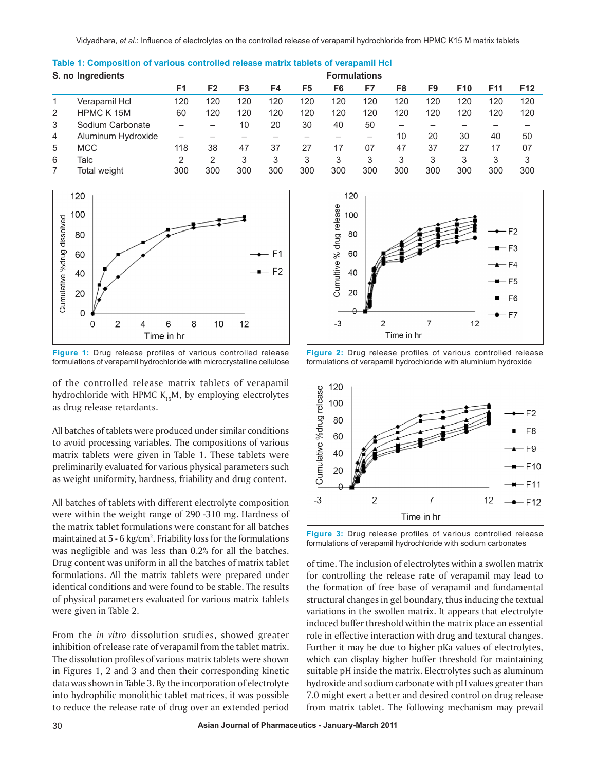|    | S. no Ingredients  | <b>Formulations</b> |                |                |     |     |     |     |     |     |                 |     |                 |
|----|--------------------|---------------------|----------------|----------------|-----|-----|-----|-----|-----|-----|-----------------|-----|-----------------|
|    |                    | F <sub>1</sub>      | F <sub>2</sub> | F <sub>3</sub> | F4  | F5  | F6  | F7  | F8  | F9  | F <sub>10</sub> | F11 | F <sub>12</sub> |
| -1 | Verapamil Hcl      | 120                 | 120            | 120            | 120 | 120 | 120 | 120 | 120 | 120 | 120             | 120 | 120             |
| 2  | HPMC K 15M         | 60                  | 120            | 120            | 120 | 120 | 120 | 120 | 120 | 120 | 120             | 120 | 120             |
| 3  | Sodium Carbonate   |                     |                | 10             | 20  | 30  | 40  | 50  |     |     |                 |     |                 |
| 4  | Aluminum Hydroxide |                     |                |                |     |     |     | -   | 10  | 20  | 30              | 40  | 50              |
| 5  | <b>MCC</b>         | 118                 | 38             | 47             | 37  | 27  | 17  | 07  | 47  | 37  | 27              | 17  | 07              |
| 6  | Talc               | 2                   | 2              | 3              | 3   | 3   | 3   | 3   | 3   | 3   | 3               | 3   | 3               |
|    | Total weight       | 300                 | 300            | 300            | 300 | 300 | 300 | 300 | 300 | 300 | 300             | 300 | 300             |

**Table 1: Composition of various controlled release matrix tablets of verapamil Hcl**



**Figure 1:** Drug release profiles of various controlled release formulations of verapamil hydrochloride with microcrystalline cellulose

of the controlled release matrix tablets of verapamil hydrochloride with HPMC  $K_{15}M$ , by employing electrolytes as drug release retardants.

All batches of tablets were produced under similar conditions to avoid processing variables. The compositions of various matrix tablets were given in Table 1. These tablets were preliminarily evaluated for various physical parameters such as weight uniformity, hardness, friability and drug content.

All batches of tablets with different electrolyte composition were within the weight range of 290 -310 mg. Hardness of the matrix tablet formulations were constant for all batches maintained at  $5 - 6$  kg/cm<sup>2</sup>. Friability loss for the formulations was negligible and was less than 0.2% for all the batches. Drug content was uniform in all the batches of matrix tablet formulations. All the matrix tablets were prepared under identical conditions and were found to be stable. The results of physical parameters evaluated for various matrix tablets were given in Table 2.

From the *in vitro* dissolution studies, showed greater inhibition of release rate of verapamil from the tablet matrix. The dissolution profiles of various matrix tablets were shown in Figures 1, 2 and 3 and then their corresponding kinetic data was shown in Table 3. By the incorporation of electrolyte into hydrophilic monolithic tablet matrices, it was possible to reduce the release rate of drug over an extended period



**Figure 2:** Drug release profiles of various controlled release formulations of verapamil hydrochloride with aluminium hydroxide



**Figure 3:** Drug release profiles of various controlled release formulations of verapamil hydrochloride with sodium carbonates

of time. The inclusion of electrolytes within a swollen matrix for controlling the release rate of verapamil may lead to the formation of free base of verapamil and fundamental structural changes in gel boundary, thus inducing the textual variations in the swollen matrix. It appears that electrolyte induced buffer threshold within the matrix place an essential role in effective interaction with drug and textural changes. Further it may be due to higher pKa values of electrolytes, which can display higher buffer threshold for maintaining suitable pH inside the matrix. Electrolytes such as aluminum hydroxide and sodium carbonate with pH values greater than 7.0 might exert a better and desired control on drug release from matrix tablet. The following mechanism may prevail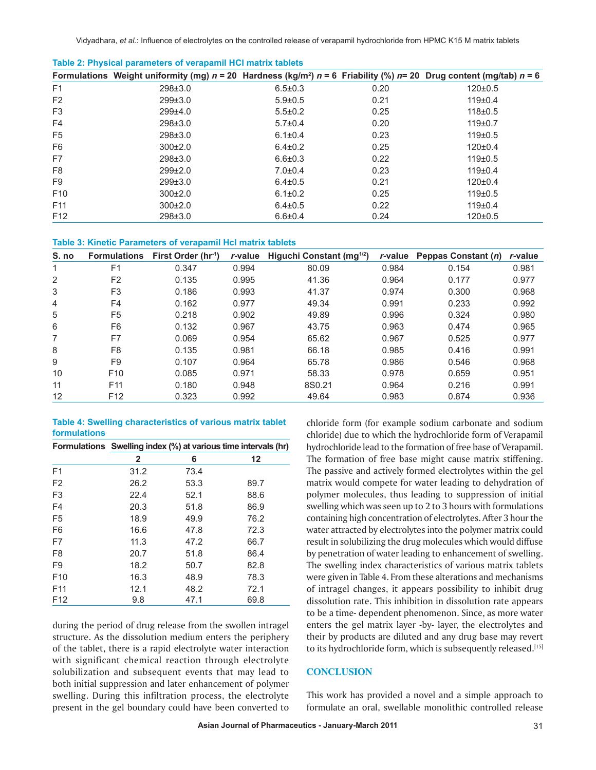Vidyadhara, *et al.*: Influence of electrolytes on the controlled release of verapamil hydrochloride from HPMC K15 M matrix tablets

|                 | Formulations Weight uniformity (mg) $n = 20$ Hardness (kg/m <sup>2</sup> ) $n = 6$ Friability (%) $n = 20$ Drug content (mg/tab) $n = 6$ |               |      |               |
|-----------------|------------------------------------------------------------------------------------------------------------------------------------------|---------------|------|---------------|
| F <sub>1</sub>  | $298 + 3.0$                                                                                                                              | $6.5 \pm 0.3$ | 0.20 | $120 \pm 0.5$ |
| F <sub>2</sub>  | 299±3.0                                                                                                                                  | $5.9 \pm 0.5$ | 0.21 | 119±0.4       |
| F <sub>3</sub>  | 299±4.0                                                                                                                                  | $5.5 \pm 0.2$ | 0.25 | $118 + 0.5$   |
| F4              | $298 + 3.0$                                                                                                                              | $5.7 \pm 0.4$ | 0.20 | $119+0.7$     |
| F <sub>5</sub>  | $298 \pm 3.0$                                                                                                                            | $6.1 \pm 0.4$ | 0.23 | $119 \pm 0.5$ |
| F <sub>6</sub>  | $300\pm2.0$                                                                                                                              | $6.4 \pm 0.2$ | 0.25 | $120 \pm 0.4$ |
| F7              | $298 + 3.0$                                                                                                                              | $6.6{\pm}0.3$ | 0.22 | 119±0.5       |
| F <sub>8</sub>  | $299 \pm 2.0$                                                                                                                            | $7.0 \pm 0.4$ | 0.23 | 119±0.4       |
| F <sub>9</sub>  | 299±3.0                                                                                                                                  | $6.4 \pm 0.5$ | 0.21 | $120 \pm 0.4$ |
| F <sub>10</sub> | $300\pm2.0$                                                                                                                              | $6.1 \pm 0.2$ | 0.25 | 119±0.5       |
| F <sub>11</sub> | $300\pm2.0$                                                                                                                              | $6.4 \pm 0.5$ | 0.22 | 119±0.4       |
| F <sub>12</sub> | $298 \pm 3.0$                                                                                                                            | $6.6 \pm 0.4$ | 0.24 | $120 \pm 0.5$ |

## **Table 2: Physical parameters of verapamil HCl matrix tablets**

#### **Table 3: Kinetic Parameters of verapamil Hcl matrix tablets**

| S. no | <b>Formulations</b> | First Order (hr <sup>-1</sup> ) | r-value | Higuchi Constant (mg <sup>1/2</sup> ) | r-value | Peppas Constant (n) | r-value |
|-------|---------------------|---------------------------------|---------|---------------------------------------|---------|---------------------|---------|
|       | F <sub>1</sub>      | 0.347                           | 0.994   | 80.09                                 | 0.984   | 0.154               | 0.981   |
| 2     | F <sub>2</sub>      | 0.135                           | 0.995   | 41.36                                 | 0.964   | 0.177               | 0.977   |
| 3     | F <sub>3</sub>      | 0.186                           | 0.993   | 41.37                                 | 0.974   | 0.300               | 0.968   |
| 4     | F4                  | 0.162                           | 0.977   | 49.34                                 | 0.991   | 0.233               | 0.992   |
| 5     | F <sub>5</sub>      | 0.218                           | 0.902   | 49.89                                 | 0.996   | 0.324               | 0.980   |
| 6     | F <sub>6</sub>      | 0.132                           | 0.967   | 43.75                                 | 0.963   | 0.474               | 0.965   |
| 7     | F7                  | 0.069                           | 0.954   | 65.62                                 | 0.967   | 0.525               | 0.977   |
| 8     | F <sub>8</sub>      | 0.135                           | 0.981   | 66.18                                 | 0.985   | 0.416               | 0.991   |
| 9     | F <sub>9</sub>      | 0.107                           | 0.964   | 65.78                                 | 0.986   | 0.546               | 0.968   |
| 10    | F <sub>10</sub>     | 0.085                           | 0.971   | 58.33                                 | 0.978   | 0.659               | 0.951   |
| 11    | F <sub>11</sub>     | 0.180                           | 0.948   | 8S0.21                                | 0.964   | 0.216               | 0.991   |
| 12    | F <sub>12</sub>     | 0.323                           | 0.992   | 49.64                                 | 0.983   | 0.874               | 0.936   |

**Table 4: Swelling characteristics of various matrix tablet formulations**

|                 | Formulations Swelling index (%) at various time intervals (hr) |      |      |  |  |  |  |
|-----------------|----------------------------------------------------------------|------|------|--|--|--|--|
|                 | $\mathbf{2}$                                                   | 6    | 12   |  |  |  |  |
| F <sub>1</sub>  | 31.2                                                           | 73.4 |      |  |  |  |  |
| F <sub>2</sub>  | 26.2                                                           | 53.3 | 89.7 |  |  |  |  |
| F <sub>3</sub>  | 22.4                                                           | 52.1 | 88.6 |  |  |  |  |
| F <sub>4</sub>  | 20.3                                                           | 51.8 | 86.9 |  |  |  |  |
| F <sub>5</sub>  | 18.9                                                           | 49.9 | 76.2 |  |  |  |  |
| F <sub>6</sub>  | 16.6                                                           | 47.8 | 72.3 |  |  |  |  |
| F7              | 11.3                                                           | 47.2 | 66.7 |  |  |  |  |
| F <sub>8</sub>  | 20.7                                                           | 51.8 | 86.4 |  |  |  |  |
| F <sub>9</sub>  | 18.2                                                           | 50.7 | 82.8 |  |  |  |  |
| F <sub>10</sub> | 16.3                                                           | 48.9 | 78.3 |  |  |  |  |
| F <sub>11</sub> | 12.1                                                           | 48.2 | 72.1 |  |  |  |  |
| F <sub>12</sub> | 9.8                                                            | 47.1 | 69.8 |  |  |  |  |

during the period of drug release from the swollen intragel structure. As the dissolution medium enters the periphery of the tablet, there is a rapid electrolyte water interaction with significant chemical reaction through electrolyte solubilization and subsequent events that may lead to both initial suppression and later enhancement of polymer swelling. During this infiltration process, the electrolyte present in the gel boundary could have been converted to chloride form (for example sodium carbonate and sodium chloride) due to which the hydrochloride form of Verapamil hydrochloride lead to the formation of free base of Verapamil. The formation of free base might cause matrix stiffening. The passive and actively formed electrolytes within the gel matrix would compete for water leading to dehydration of polymer molecules, thus leading to suppression of initial swelling which was seen up to 2 to 3 hours with formulations containing high concentration of electrolytes. After 3 hour the water attracted by electrolytes into the polymer matrix could result in solubilizing the drug molecules which would diffuse by penetration of water leading to enhancement of swelling. The swelling index characteristics of various matrix tablets were given in Table 4. From these alterations and mechanisms of intragel changes, it appears possibility to inhibit drug dissolution rate. This inhibition in dissolution rate appears to be a time- dependent phenomenon. Since, as more water enters the gel matrix layer -by- layer, the electrolytes and their by products are diluted and any drug base may revert to its hydrochloride form, which is subsequently released.[15]

## **CONCLUSION**

This work has provided a novel and a simple approach to formulate an oral, swellable monolithic controlled release